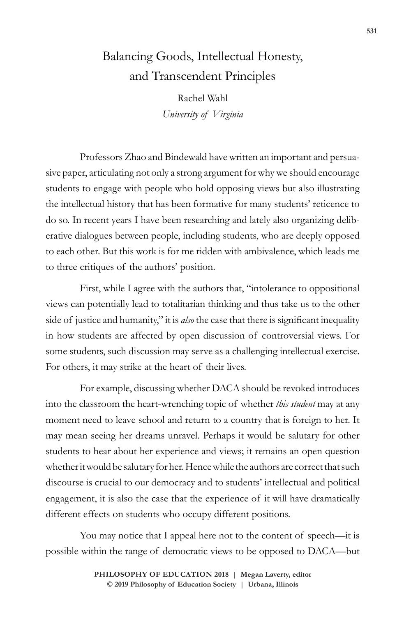## Balancing Goods, Intellectual Honesty, and Transcendent Principles

Rachel Wahl *University of Virginia*

Professors Zhao and Bindewald have written an important and persuasive paper, articulating not only a strong argument for why we should encourage students to engage with people who hold opposing views but also illustrating the intellectual history that has been formative for many students' reticence to do so. In recent years I have been researching and lately also organizing deliberative dialogues between people, including students, who are deeply opposed to each other. But this work is for me ridden with ambivalence, which leads me to three critiques of the authors' position.

First, while I agree with the authors that, "intolerance to oppositional views can potentially lead to totalitarian thinking and thus take us to the other side of justice and humanity," it is *also* the case that there is significant inequality in how students are affected by open discussion of controversial views. For some students, such discussion may serve as a challenging intellectual exercise. For others, it may strike at the heart of their lives.

For example, discussing whether DACA should be revoked introduces into the classroom the heart-wrenching topic of whether *this student* may at any moment need to leave school and return to a country that is foreign to her. It may mean seeing her dreams unravel. Perhaps it would be salutary for other students to hear about her experience and views; it remains an open question whether it would be salutary for her. Hence while the authors are correct that such discourse is crucial to our democracy and to students' intellectual and political engagement, it is also the case that the experience of it will have dramatically different effects on students who occupy different positions.

You may notice that I appeal here not to the content of speech—it is possible within the range of democratic views to be opposed to DACA—but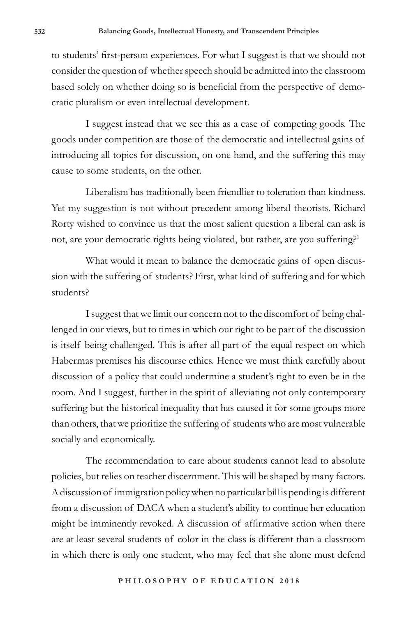to students' first-person experiences. For what I suggest is that we should not consider the question of whether speech should be admitted into the classroom based solely on whether doing so is beneficial from the perspective of democratic pluralism or even intellectual development.

I suggest instead that we see this as a case of competing goods. The goods under competition are those of the democratic and intellectual gains of introducing all topics for discussion, on one hand, and the suffering this may cause to some students, on the other.

Liberalism has traditionally been friendlier to toleration than kindness. Yet my suggestion is not without precedent among liberal theorists. Richard Rorty wished to convince us that the most salient question a liberal can ask is not, are your democratic rights being violated, but rather, are you suffering?<sup>1</sup>

What would it mean to balance the democratic gains of open discussion with the suffering of students? First, what kind of suffering and for which students?

I suggest that we limit our concern not to the discomfort of being challenged in our views, but to times in which our right to be part of the discussion is itself being challenged. This is after all part of the equal respect on which Habermas premises his discourse ethics. Hence we must think carefully about discussion of a policy that could undermine a student's right to even be in the room. And I suggest, further in the spirit of alleviating not only contemporary suffering but the historical inequality that has caused it for some groups more than others, that we prioritize the suffering of students who are most vulnerable socially and economically.

The recommendation to care about students cannot lead to absolute policies, but relies on teacher discernment. This will be shaped by many factors. A discussion of immigration policy when no particular bill is pending is different from a discussion of DACA when a student's ability to continue her education might be imminently revoked. A discussion of affirmative action when there are at least several students of color in the class is different than a classroom in which there is only one student, who may feel that she alone must defend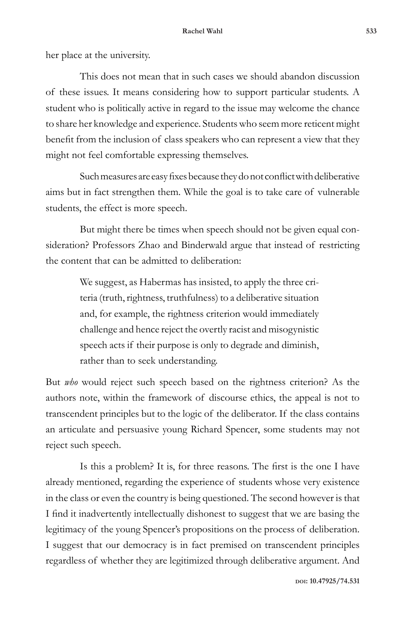her place at the university.

This does not mean that in such cases we should abandon discussion of these issues. It means considering how to support particular students. A student who is politically active in regard to the issue may welcome the chance to share her knowledge and experience. Students who seem more reticent might benefit from the inclusion of class speakers who can represent a view that they might not feel comfortable expressing themselves.

Such measures are easy fixes because they do not conflict with deliberative aims but in fact strengthen them. While the goal is to take care of vulnerable students, the effect is more speech.

But might there be times when speech should not be given equal consideration? Professors Zhao and Binderwald argue that instead of restricting the content that can be admitted to deliberation:

> We suggest, as Habermas has insisted, to apply the three criteria (truth, rightness, truthfulness) to a deliberative situation and, for example, the rightness criterion would immediately challenge and hence reject the overtly racist and misogynistic speech acts if their purpose is only to degrade and diminish, rather than to seek understanding.

But *who* would reject such speech based on the rightness criterion? As the authors note, within the framework of discourse ethics, the appeal is not to transcendent principles but to the logic of the deliberator. If the class contains an articulate and persuasive young Richard Spencer, some students may not reject such speech.

Is this a problem? It is, for three reasons. The first is the one I have already mentioned, regarding the experience of students whose very existence in the class or even the country is being questioned. The second however is that I find it inadvertently intellectually dishonest to suggest that we are basing the legitimacy of the young Spencer's propositions on the process of deliberation. I suggest that our democracy is in fact premised on transcendent principles regardless of whether they are legitimized through deliberative argument. And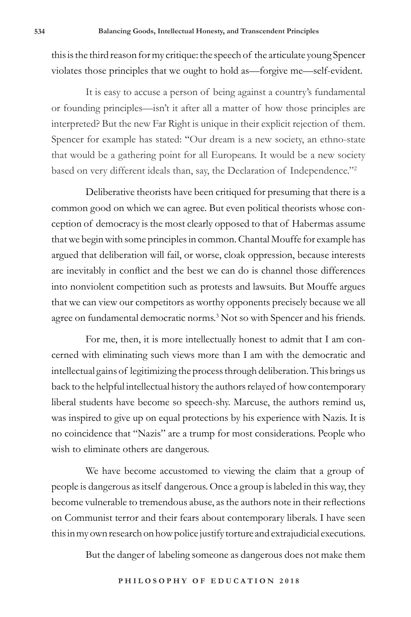this is the third reason for my critique: the speech of the articulate young Spencer violates those principles that we ought to hold as—forgive me—self-evident.

It is easy to accuse a person of being against a country's fundamental or founding principles—isn't it after all a matter of how those principles are interpreted? But the new Far Right is unique in their explicit rejection of them. Spencer for example has stated: "Our dream is a new society, an ethno-state that would be a gathering point for all Europeans. It would be a new society based on very different ideals than, say, the Declaration of Independence."2

Deliberative theorists have been critiqued for presuming that there is a common good on which we can agree. But even political theorists whose conception of democracy is the most clearly opposed to that of Habermas assume that we begin with some principles in common. Chantal Mouffe for example has argued that deliberation will fail, or worse, cloak oppression, because interests are inevitably in conflict and the best we can do is channel those differences into nonviolent competition such as protests and lawsuits. But Mouffe argues that we can view our competitors as worthy opponents precisely because we all agree on fundamental democratic norms.<sup>3</sup> Not so with Spencer and his friends.

For me, then, it is more intellectually honest to admit that I am concerned with eliminating such views more than I am with the democratic and intellectual gains of legitimizing the process through deliberation. This brings us back to the helpful intellectual history the authors relayed of how contemporary liberal students have become so speech-shy. Marcuse, the authors remind us, was inspired to give up on equal protections by his experience with Nazis. It is no coincidence that "Nazis" are a trump for most considerations. People who wish to eliminate others are dangerous.

We have become accustomed to viewing the claim that a group of people is dangerous as itself dangerous. Once a group is labeled in this way, they become vulnerable to tremendous abuse, as the authors note in their reflections on Communist terror and their fears about contemporary liberals. I have seen this in my own research on how police justify torture and extrajudicial executions.

But the danger of labeling someone as dangerous does not make them